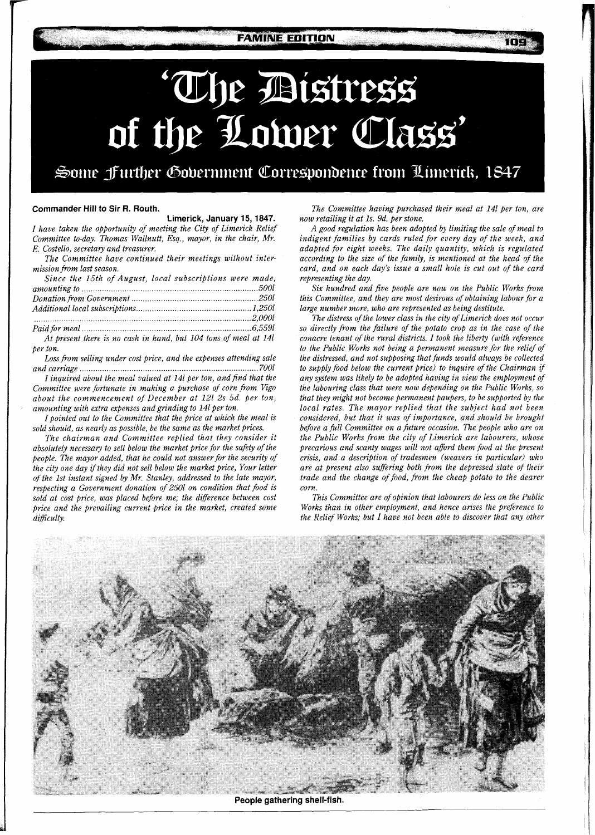**FAMINE EDITION** 

# 'The Distress<br>of the Lower Class'

Some Jurther Government Correspondence from Limerick, 1847

## **Commander Hill to Sir R. Routh.**

**Limerick, January 15, 1847.**  *I have taken the opportunity of meeting the City of Limerick Relief Committee to-day. Thomas Wallnutt, Esq., mayor, in the chair, Mr. E. Costello, secretary and treasurer.* 

*The Committee have continued their meetings without intermission from last season.* 

| Since the 15th of August, local subscriptions were made,         |  |
|------------------------------------------------------------------|--|
|                                                                  |  |
|                                                                  |  |
|                                                                  |  |
|                                                                  |  |
|                                                                  |  |
| At present there is no cash in hand, but 104 tons of meal at 14l |  |

*per ton.* 

*Loss from selling under cost price, and the expenses attending sale and carriage* ..........

*I inquired about the meal valued at 141 per ton, and find that the Committee were fortunate in making a purchase of corn from Vigo about the commencement of December at 121 2s 5d. per ton, amounting with extra expenses andgrinding to 141 per ton.* 

*I pointed out to the Committee that the price at which the meal is sold should, as nearly as possible, be the same as the market prices.* 

*The chairman and Committee replied that they consider it absolutely necessay, to sell below the market price for the safety of the people. The mayor added, that he could not answer for the security of the city one day if they did not sell below the market price, Your letter of the 1st instant signed by Mr. Stanley, addressed to the late mayor, respecting a Government donation of 2501 on condition that fiod is sold at cost price, was placed before me; the difference between cost price and the prevailing current price in the market, created some*   $d$ *ifficulty.* 

*The Committee having purchased their meal at 141 per ton, are now retailing it at Is. 9d. per stone.* 

*A good regulation has been adopted by limiting the sale of meal to indigent families by cards ruled for every day of the week, and adapted for eight weeks. The daily quantity, which is regulated according to the size of the family, is mentioned at the head of the card, and on each day's issue a small hole is cut out of the card representing the day.* 

*Six hundred and five people are now on the Public Works from this Committee, and they are most desirous of obtaining labour for a large number more, who are represented as being destitute.* 

*The distress of the lower class in the city ofLimerick does not occur so directly from the failure of the potato crop as in the case of the conacre tenant of the rural districts. I took the liberty (with reference*  to the Public Works not being a permanent measure for the relief of *the distressed, and not supposing that funds would always be collected to supply food below the current price) to inquire of the Chairman if any system was likely to be adopted having in view the employment of the labouring class that were now depending on the Public Works, so that they might not become permanent paupers, to be supported by the local rates. The mayor replied that the subject had not been considered, but that it was of importance, and should be brought before a full Committee on a future occasion. The people who are on the Public Works from the city of Limerick are labourers, whose precarious and scanty wages will not aford them food at the present crisis, and a description of tradesmen (weavers in particular) who are at present also suffering both from the depressed state of their trade and the change of food, from the cheap potato to the dearer corn.* 

*This Committee are of opinion that labourers do less on the Public Works than in other employment, and hence arises the preference to the Relief Works; but I have not been able to discover that any other* 



**People gathering shell-fish.**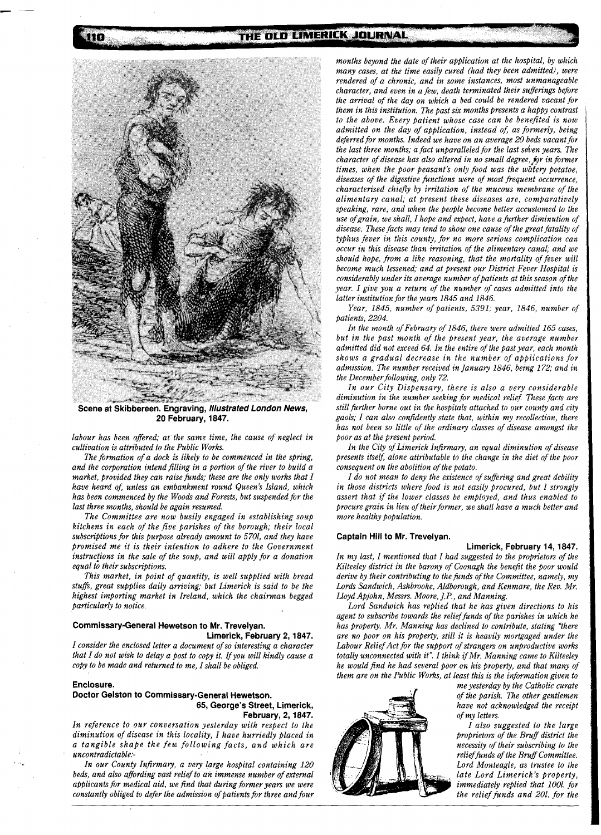THE OLD LIMERICK JOURNAL



**Scene at Skibbereen. Engraving, Illustrated London News, 20 February, 1847.** 

*labour has been offered; at the same time, the cause of neglect in cultivation is attributed to the Public Works.* 

*The formation of a dock is likely to be commenced in the spring, and the corporation intend filling in a portion of the river to build a market, provided they can raise funds; these are the only works that I have heard of, unless an embankment round Queen's Island, which has been commenced by the Woods and Forests, but suspended for the last three months, should be again resumed.* 

*The Committee are now busily engaged in establishing soup kitchens in each of the five parishes of the borough; their local subscriptions for this purpose already amount to 5701, and they have promised me it is their intention to adhere to the Government*  instructions in the sale of the soup, and will apply for a donation *equal to their subscriptions.* 

*This market, in point of quantity, is well supplied with bread stufi, great supplies daily arriving; but Limerick is said to be the highest importing market in Ireland, which the chairman begged particularly to notice.* 

# **Commissary-General Hewetson to Mr. Trevelyan.**

**Limerick, February 2, 1847.**  *I consider the enclosed letter a document of so interesting a character that I do not wish to delay a post to copy it. Ifyou will kindly cause a copy to be made and returned to me, I shall be obliged.* 

### **Enclosure.**

110

**Doctor Gelston to Commissary-General Hewetson. 65, George's Street, Limerick, February, 2,1847.** 

*In reference to our conversation yesterday with respect to the diminution of disease in this locality, I have hurriedly placed in a tangible shape the few following facts, and which are uncontradictab1e:-* 

*In our County Infirmary, a very large hospital containing 120 beds, and also affording vast relief to an immense number of external applicants for medical aid, we find that during former years we were constantly obliged to defer the admission of patients for three and four* 

*months beyond the date of their application at the hospital, by which many cases, at the time easily cured (had they been admitted), were rendered of a chronic, and in some instances, most unmanageable character, and even in a few, death terminated their sufferings before the arrival of the day on which a bed could be rendered vacant for them in this institution. The past six months presents a happy contrast to the above. Every patient whose case can be benefited is now admitted on the day of application, instead of, as formerly, being deferred for months. Indeed we have on an average 20 beds vacant for the last three months; a fact unparalleled for the last seven years. The character of disease has also altered in no small degree, for in former times, when the poor peasant's only food was the watery potatoe, diseases of the digestive functions were of most frequent occurrence, characterised chiefly by irritation of the mucous membrane of the alimentary canal; at present these diseases are, comparatively speaking, rare, and when the people become better accustomed to the use ofgrain, we shall, I hope and expect, have a further diminution of disease. These facts may tend to show one cause of the great fatality of typhus fever in this county, for no more serious complication can occur in this disease than irritation of the alimentary canal; and we should hope, from a like reasoning, that the mortality of fever will become much lessened; and at present our District Fever Hospital is considerably under its average number of patients at this season of the year. I give you a return of the number of cases admitted into the latter institution for the years 1845 and 1846.* 

*Year, 1845, number of patients, 5391; year, 1846, number of patients, 2204.* 

*In the month of Februaty of 1846, there were admitted 165 cases, but in the past month of the present year, the average number admitted did not exceed 64. In the entire of the past year, each month shows a gradual decrease in the number of applications for admission. The number received in January 1846, being 172; and in the Decemberfollowing, only 72.* 

*In our City Dispensary, there is also a very considerable diminution in the number seeking for medical relief These facts are still further borne out in the hospitals attached to our county and city gaols; I can also confidently state that, within my recollection, there has not been so little of the ordinary classes of disease amongst the poor as at the present period.* 

*In the City of Limerick Infirmary, an equal diminution of disease presents itself; alone attributable to the change in the diet of the poor consequent on the abolition of the potato.* 

*I do not mean to deny the existence ofsuffering and great debility in those districts where food is not easily procured, but I strongly assert that if the lower classes be employed, and thus enabled to procure grain in lieu of their former, we shall have a much better and more healthy population.* 

## **Captain Hill to Mr. Trevelyan.**

# **Limerick, February 14, 1847.**

*In my last, I mentioned that I had suggested to the proprietors of the Kilteeley district in the barony of Cocnagh the benefit the poor would derive by their contributing to the funds of the Committee, namely, my Lords Sandwich, Ashbrooke, Aldborough, and Kenmare, the Rev. Mr. Lloyd Apjohn, Messrs. Moore, J.P., and Manning.* 

*Lord Sandwich has replied that he has given directions to his agent to subscribe towards the relieffunds of the parishes in which he has property. Mr. Manning has declined to contribute, stating "there*  are no poor on his property, still it is heavily mortgaged under the Labour Relief Act for the support of strangers on unproductive works *totally unconnected with it". I think ifMr. Manning came to Kilteeley he would find he had several poor on his property, and that many of them are on the Public Works, at least this is the information given to* 



*me yesterday by the Catholic curate of the parish. The other gentlemen have not acknowledged the receipt of my letters.* 

*I also suggested to the large proprietors of the Bruff district the necessity of their subscribing to the*   $relief$  funds of the Bruff Committee. *Lord Monteagle, as trustee to the late Lord Limerick's property, immediately replied that 1001. for the relief funds and 201. for the*